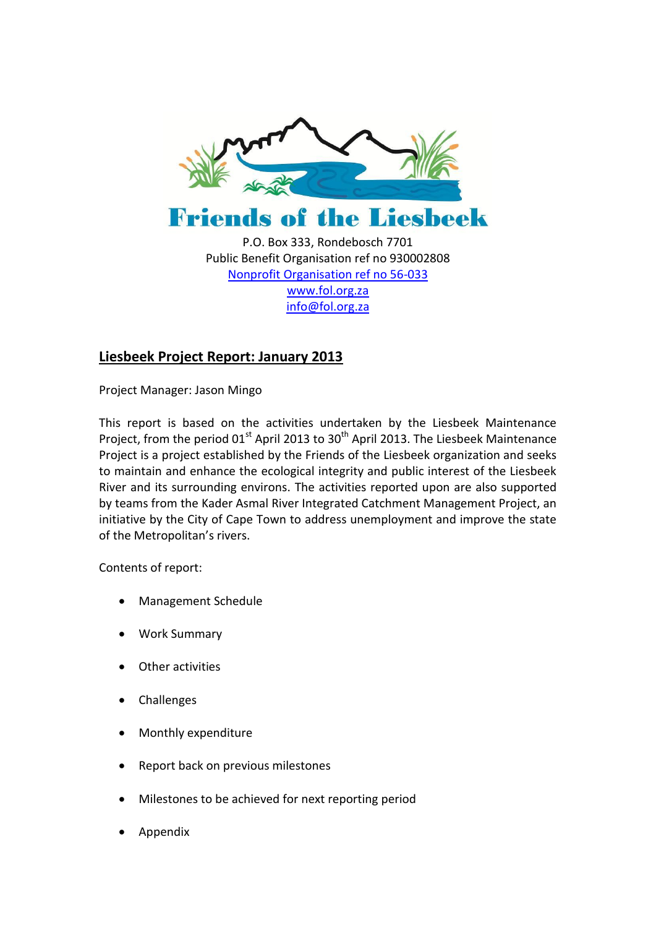



P.O. Box 333, Rondebosch 7701 Public Benefit Organisation ref no 930002808 [Nonprofit Organisation ref no 56-033](http://www.fol.org.za/) [www.fol.org.za](http://www.fol.org.za/) [info@fol.org.za](mailto:info@fol.org.za)

# **Liesbeek Project Report: January 2013**

Project Manager: Jason Mingo

This report is based on the activities undertaken by the Liesbeek Maintenance Project, from the period  $01^{st}$  April 2013 to 30<sup>th</sup> April 2013. The Liesbeek Maintenance Project is a project established by the Friends of the Liesbeek organization and seeks to maintain and enhance the ecological integrity and public interest of the Liesbeek River and its surrounding environs. The activities reported upon are also supported by teams from the Kader Asmal River Integrated Catchment Management Project, an initiative by the City of Cape Town to address unemployment and improve the state of the Metropolitan's rivers.

Contents of report:

- Management Schedule
- Work Summary
- Other activities
- Challenges
- Monthly expenditure
- Report back on previous milestones
- Milestones to be achieved for next reporting period
- Appendix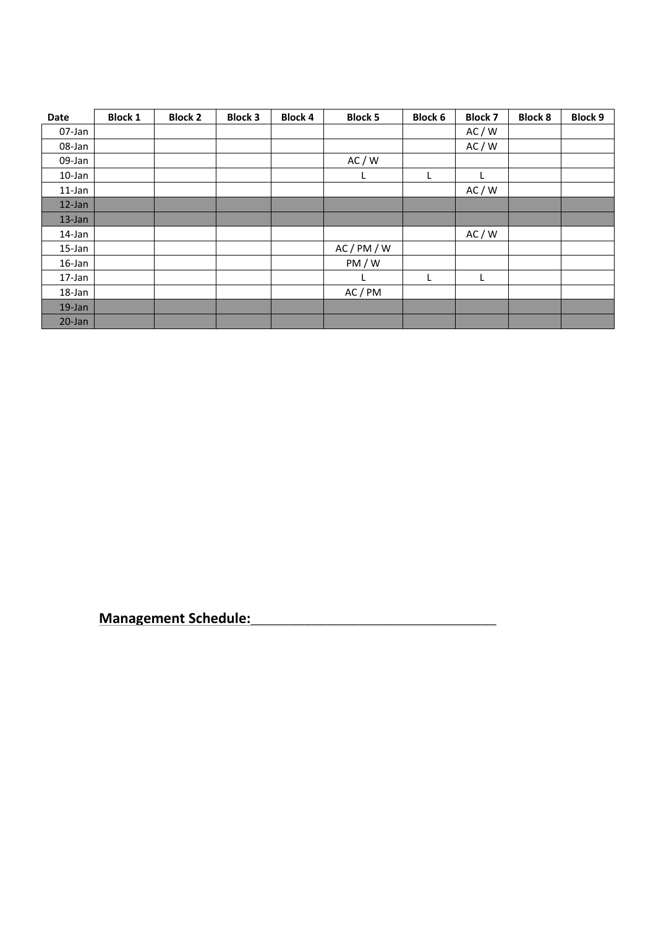| Date       | <b>Block 1</b> | <b>Block 2</b> | <b>Block 3</b> | <b>Block 4</b> | <b>Block 5</b> | <b>Block 6</b> | <b>Block 7</b> | <b>Block 8</b> | <b>Block 9</b> |
|------------|----------------|----------------|----------------|----------------|----------------|----------------|----------------|----------------|----------------|
| 07-Jan     |                |                |                |                |                |                | AC/W           |                |                |
| 08-Jan     |                |                |                |                |                |                | AC/W           |                |                |
| 09-Jan     |                |                |                |                | AC/W           |                |                |                |                |
| $10$ -Jan  |                |                |                |                |                | L              |                |                |                |
| 11-Jan     |                |                |                |                |                |                | AC/W           |                |                |
| 12-Jan     |                |                |                |                |                |                |                |                |                |
| $13$ -Jan  |                |                |                |                |                |                |                |                |                |
| 14-Jan     |                |                |                |                |                |                | AC / W         |                |                |
| 15-Jan     |                |                |                |                | AC/PM/W        |                |                |                |                |
| 16-Jan     |                |                |                |                | PM/W           |                |                |                |                |
| 17-Jan     |                |                |                |                |                | L              | L              |                |                |
| 18-Jan     |                |                |                |                | AC/PM          |                |                |                |                |
| $19$ -Jan  |                |                |                |                |                |                |                |                |                |
| $20 - Jan$ |                |                |                |                |                |                |                |                |                |

**Management Schedule:\_\_\_\_\_\_\_\_\_\_\_\_\_\_\_\_\_\_\_\_\_\_\_\_\_\_\_\_\_\_\_\_**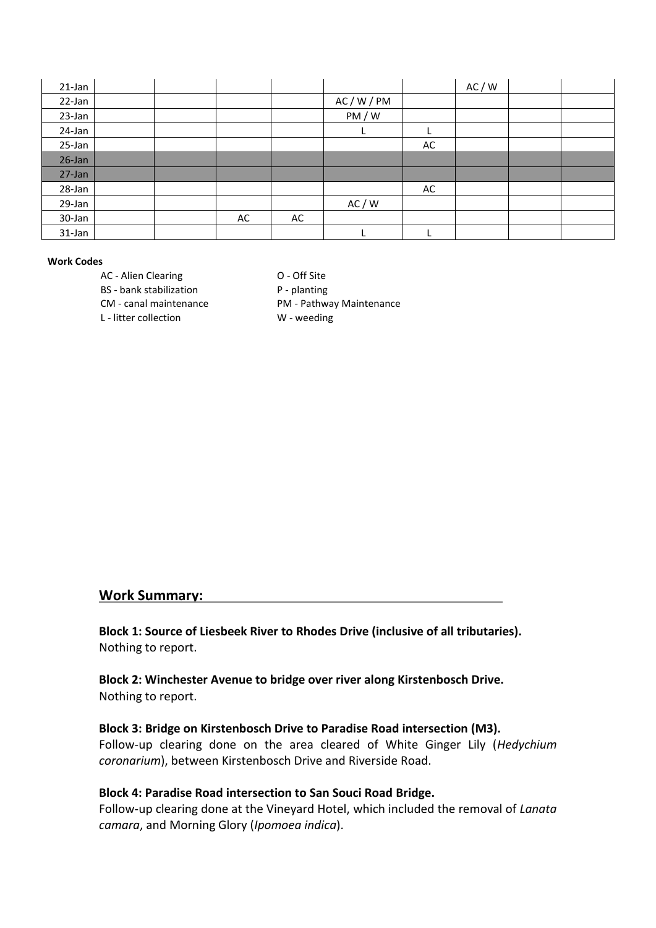| $21$ -Jan |  |    |    |         |    | AC / W |  |
|-----------|--|----|----|---------|----|--------|--|
| 22-Jan    |  |    |    | AC/W/PM |    |        |  |
| 23-Jan    |  |    |    | PM/W    |    |        |  |
| 24-Jan    |  |    |    |         |    |        |  |
| 25-Jan    |  |    |    |         | AC |        |  |
| $26$ -Jan |  |    |    |         |    |        |  |
| 27-Jan    |  |    |    |         |    |        |  |
| 28-Jan    |  |    |    |         | AC |        |  |
| 29-Jan    |  |    |    | AC / W  |    |        |  |
| 30-Jan    |  | AC | AC |         |    |        |  |
| 31-Jan    |  |    |    |         |    |        |  |

#### **Work Codes**

AC - Alien Clearing Carrier Corporation Corporation Corporation Corporation Corporation Corporation Corporation Corporation Corporation Corporation Corporation Corporation Corporation Corporation Corporation Corporation Co

BS - bank stabilization P - planting

CM - canal maintenance PM - Pathway Maintenance

L - litter collection W - weeding

#### **Work Summary:**

**Block 1: Source of Liesbeek River to Rhodes Drive (inclusive of all tributaries).** Nothing to report.

**Block 2: Winchester Avenue to bridge over river along Kirstenbosch Drive.** Nothing to report.

#### **Block 3: Bridge on Kirstenbosch Drive to Paradise Road intersection (M3).**

Follow-up clearing done on the area cleared of White Ginger Lily (*Hedychium coronarium*), between Kirstenbosch Drive and Riverside Road.

#### **Block 4: Paradise Road intersection to San Souci Road Bridge.**

Follow-up clearing done at the Vineyard Hotel, which included the removal of *Lanata camara*, and Morning Glory (*Ipomoea indica*).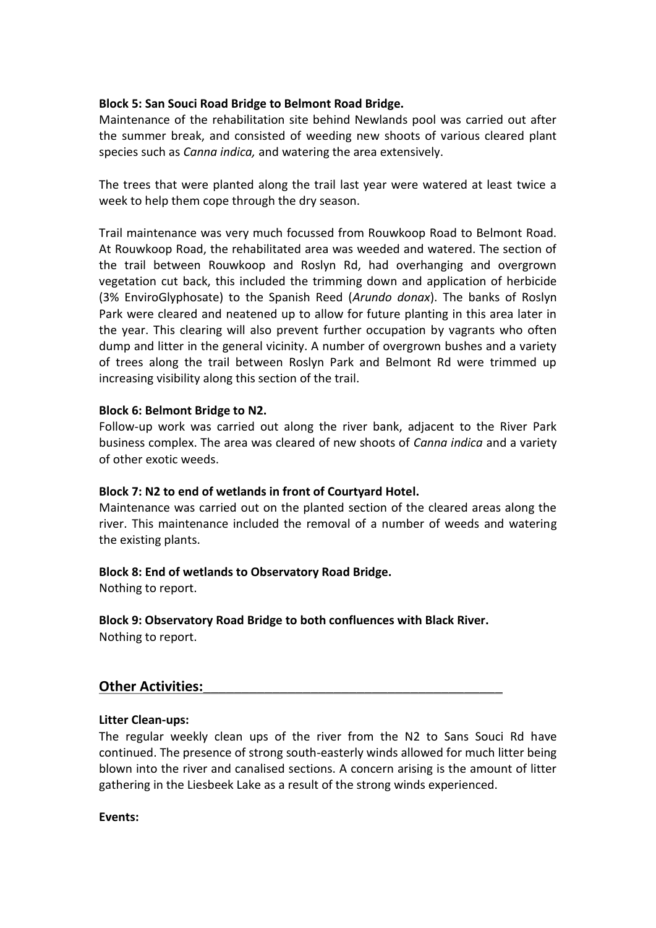### **Block 5: San Souci Road Bridge to Belmont Road Bridge.**

Maintenance of the rehabilitation site behind Newlands pool was carried out after the summer break, and consisted of weeding new shoots of various cleared plant species such as *Canna indica,* and watering the area extensively.

The trees that were planted along the trail last year were watered at least twice a week to help them cope through the dry season.

Trail maintenance was very much focussed from Rouwkoop Road to Belmont Road. At Rouwkoop Road, the rehabilitated area was weeded and watered. The section of the trail between Rouwkoop and Roslyn Rd, had overhanging and overgrown vegetation cut back, this included the trimming down and application of herbicide (3% EnviroGlyphosate) to the Spanish Reed (*Arundo donax*). The banks of Roslyn Park were cleared and neatened up to allow for future planting in this area later in the year. This clearing will also prevent further occupation by vagrants who often dump and litter in the general vicinity. A number of overgrown bushes and a variety of trees along the trail between Roslyn Park and Belmont Rd were trimmed up increasing visibility along this section of the trail.

#### **Block 6: Belmont Bridge to N2.**

Follow-up work was carried out along the river bank, adjacent to the River Park business complex. The area was cleared of new shoots of *Canna indica* and a variety of other exotic weeds.

#### **Block 7: N2 to end of wetlands in front of Courtyard Hotel.**

Maintenance was carried out on the planted section of the cleared areas along the river. This maintenance included the removal of a number of weeds and watering the existing plants.

#### **Block 8: End of wetlands to Observatory Road Bridge.**

Nothing to report.

**Block 9: Observatory Road Bridge to both confluences with Black River.** Nothing to report.

# **Other Activities:**

#### **Litter Clean-ups:**

The regular weekly clean ups of the river from the N2 to Sans Souci Rd have continued. The presence of strong south-easterly winds allowed for much litter being blown into the river and canalised sections. A concern arising is the amount of litter gathering in the Liesbeek Lake as a result of the strong winds experienced.

**Events:**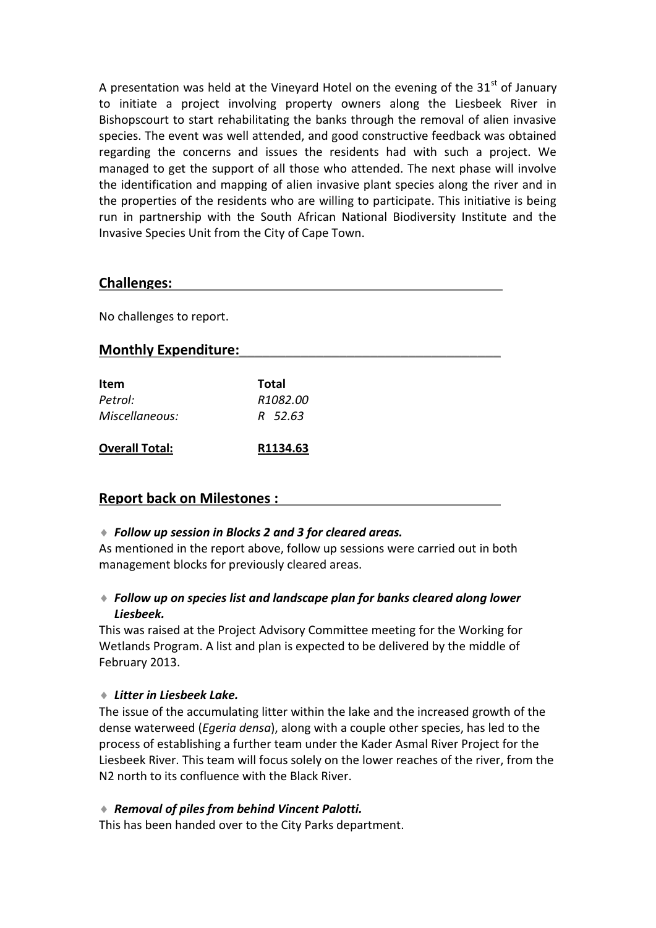A presentation was held at the Vineyard Hotel on the evening of the  $31<sup>st</sup>$  of January to initiate a project involving property owners along the Liesbeek River in Bishopscourt to start rehabilitating the banks through the removal of alien invasive species. The event was well attended, and good constructive feedback was obtained regarding the concerns and issues the residents had with such a project. We managed to get the support of all those who attended. The next phase will involve the identification and mapping of alien invasive plant species along the river and in the properties of the residents who are willing to participate. This initiative is being run in partnership with the South African National Biodiversity Institute and the Invasive Species Unit from the City of Cape Town.

# **Challenges:\_\_\_\_\_\_\_\_\_\_\_\_\_\_\_\_\_\_\_\_\_\_\_\_\_\_\_\_\_\_\_\_\_\_\_\_\_\_\_\_\_\_\_**

No challenges to report.

# **Monthly Expenditure:\_\_\_\_\_\_\_\_\_\_\_\_\_\_\_\_\_\_\_\_\_\_\_\_\_\_\_\_\_\_\_\_\_\_**

| Item<br>Petrol:       | Total<br>R <sub>1082</sub> .00 |
|-----------------------|--------------------------------|
| Miscellaneous:        | R 52.63                        |
| <b>Overall Total:</b> | R1134.63                       |

# **Report back on Milestones :**

#### *Follow up session in Blocks 2 and 3 for cleared areas.*

As mentioned in the report above, follow up sessions were carried out in both management blocks for previously cleared areas.

# *Follow up on species list and landscape plan for banks cleared along lower Liesbeek.*

This was raised at the Project Advisory Committee meeting for the Working for Wetlands Program. A list and plan is expected to be delivered by the middle of February 2013.

#### *Litter in Liesbeek Lake.*

The issue of the accumulating litter within the lake and the increased growth of the dense waterweed (*Egeria densa*), along with a couple other species, has led to the process of establishing a further team under the Kader Asmal River Project for the Liesbeek River. This team will focus solely on the lower reaches of the river, from the N2 north to its confluence with the Black River.

# *Removal of piles from behind Vincent Palotti.*

This has been handed over to the City Parks department.